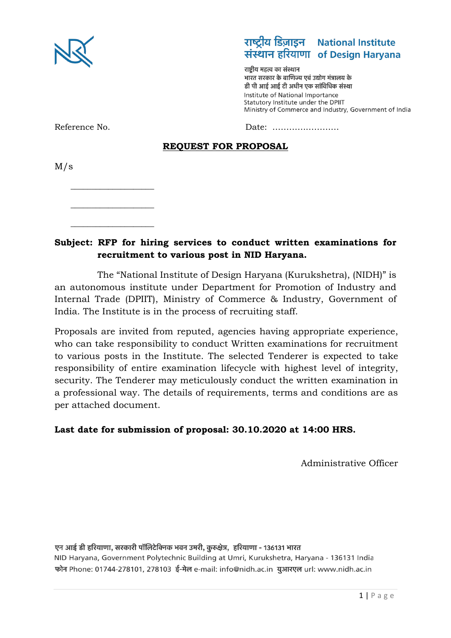

# राष्ट्रीय डिज़ाइन National Institute संस्थान हरियाणा of Design Harvana

राष्टीय महत्व का संस्थान भारत सरकार के वाणिज्य एवं उद्योग मंत्रालय के डी पी आई आई टी अधीन एक सांविधिक संस्था Institute of National Importance Statutory Institute under the DPIIT Ministry of Commerce and Industry, Government of India

Reference No. 2008 2012 12:20 2012 2014 2015 2016 2017 2018 2019 2017 2018 2019 2017 2018 2019 2017 2018 2019 2017 2017 2017 2018 2019 2017 2018 2019 2017 2017 2018 2019 2017 2017 2018 2019 2017 2017 2017 2017 2017 2017 20

### **REQUEST FOR PROPOSAL**

M/s

\_\_\_\_\_\_\_\_\_\_\_\_\_\_\_\_\_\_\_\_ \_\_\_\_\_\_\_\_\_\_\_\_\_\_\_\_\_\_\_\_

\_\_\_\_\_\_\_\_\_\_\_\_\_\_\_\_\_\_\_\_

### **Subject: RFP for hiring services to conduct written examinations for recruitment to various post in NID Haryana.**

The "National Institute of Design Haryana (Kurukshetra), (NIDH)" is an autonomous institute under Department for Promotion of Industry and Internal Trade (DPIIT), Ministry of Commerce & Industry, Government of India. The Institute is in the process of recruiting staff.

Proposals are invited from reputed, agencies having appropriate experience, who can take responsibility to conduct Written examinations for recruitment to various posts in the Institute. The selected Tenderer is expected to take responsibility of entire examination lifecycle with highest level of integrity, security. The Tenderer may meticulously conduct the written examination in a professional way. The details of requirements, terms and conditions are as per attached document.

#### **Last date for submission of proposal: 30.10.2020 at 14:00 HRS.**

Administrative Officer

एन आई डी हरियाणा, सरकारी पॉलिटेक्निक भवन उमरी, कुरुक्षेत्र, हरियाणा - 136131 भारत NID Haryana, Government Polytechnic Building at Umri, Kurukshetra, Haryana - 136131 India फोन Phone: 01744-278101, 278103 ई-मेल e-mail: info@nidh.ac.in युआरएल url: www.nidh.ac.in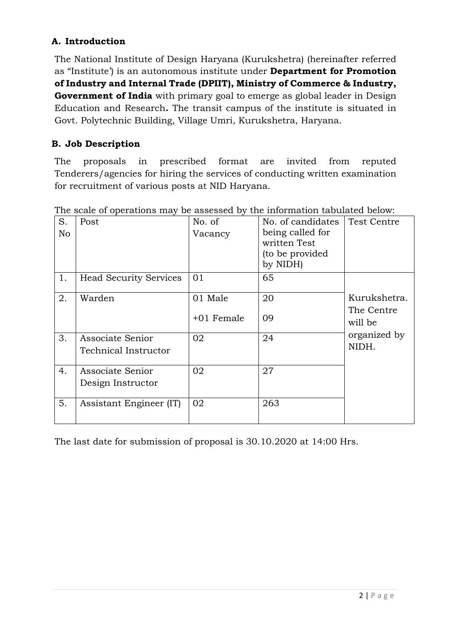## **A. Introduction**

The National Institute of Design Haryana (Kurukshetra) (hereinafter referred as "Institute') is an autonomous institute under **Department for Promotion of Industry and Internal Trade (DPIIT), Ministry of Commerce & Industry, Government of India** with primary goal to emerge as global leader in Design Education and Research**.** The transit campus of the institute is situated in Govt. Polytechnic Building, Village Umri, Kurukshetra, Haryana.

## **B. Job Description**

The proposals in prescribed format are invited from reputed Tenderers/agencies for hiring the services of conducting written examination for recruitment of various posts at NID Haryana.

| S.<br>No | Post                                     | No. of<br>Vacancy | No. of candidates<br>being called for<br>written Test<br>(to be provided<br>by NIDH) | <b>Test Centre</b>    |
|----------|------------------------------------------|-------------------|--------------------------------------------------------------------------------------|-----------------------|
| 1.       | <b>Head Security Services</b>            | 01                | 65                                                                                   |                       |
| 2.       | Warden                                   | 01 Male           | 20                                                                                   | Kurukshetra.          |
|          |                                          | $+01$ Female      | 09                                                                                   | The Centre<br>will be |
| 3.       | Associate Senior<br>Technical Instructor | 02                | 24                                                                                   | organized by<br>NIDH. |
| 4.       | Associate Senior<br>Design Instructor    | 02                | 27                                                                                   |                       |
| 5.       | Assistant Engineer (IT)                  | 02                | 263                                                                                  |                       |

The scale of operations may be assessed by the information tabulated below:

The last date for submission of proposal is 30.10.2020 at 14:00 Hrs.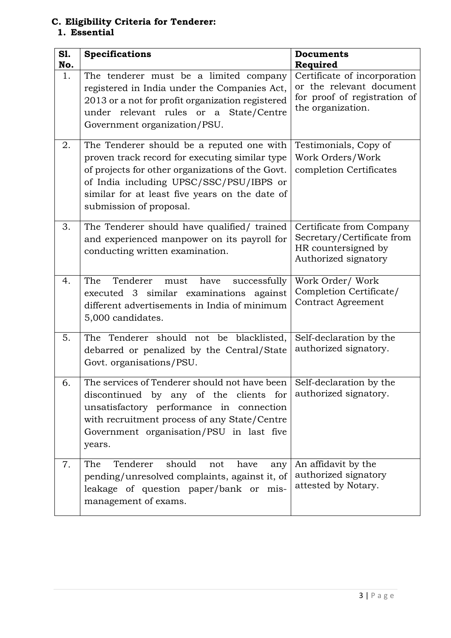#### **C. Eligibility Criteria for Tenderer: 1. Essential**

| S1.<br>No. | <b>Specifications</b>                                                                                                                                                                                                                                                   | <b>Documents</b><br>Required                                                                                  |
|------------|-------------------------------------------------------------------------------------------------------------------------------------------------------------------------------------------------------------------------------------------------------------------------|---------------------------------------------------------------------------------------------------------------|
| 1.         | The tenderer must be a limited company<br>registered in India under the Companies Act,<br>2013 or a not for profit organization registered<br>under relevant rules or a State/Centre<br>Government organization/PSU.                                                    | Certificate of incorporation<br>or the relevant document<br>for proof of registration of<br>the organization. |
| 2.         | The Tenderer should be a reputed one with<br>proven track record for executing similar type<br>of projects for other organizations of the Govt.<br>of India including UPSC/SSC/PSU/IBPS or<br>similar for at least five years on the date of<br>submission of proposal. | Testimonials, Copy of<br>Work Orders/Work<br>completion Certificates                                          |
| 3.         | The Tenderer should have qualified/ trained<br>and experienced manpower on its payroll for<br>conducting written examination.                                                                                                                                           | Certificate from Company<br>Secretary/Certificate from<br>HR countersigned by<br>Authorized signatory         |
| 4.         | The<br>Tenderer<br>have<br>successfully<br>must<br>executed 3 similar examinations against<br>different advertisements in India of minimum<br>5,000 candidates.                                                                                                         | Work Order/ Work<br>Completion Certificate/<br><b>Contract Agreement</b>                                      |
| 5.         | The Tenderer should not be blacklisted,<br>debarred or penalized by the Central/State<br>Govt. organisations/PSU.                                                                                                                                                       | Self-declaration by the<br>authorized signatory.                                                              |
| 6.         | The services of Tenderer should not have been Self-declaration by the<br>discontinued by any of the clients for<br>unsatisfactory performance in connection<br>with recruitment process of any State/Centre<br>Government organisation/PSU in last five<br>years.       | authorized signatory.                                                                                         |
| 7.         | should<br>Tenderer<br>The<br>not<br>have<br>any<br>pending/unresolved complaints, against it, of<br>leakage of question paper/bank or mis-<br>management of exams.                                                                                                      | An affidavit by the<br>authorized signatory<br>attested by Notary.                                            |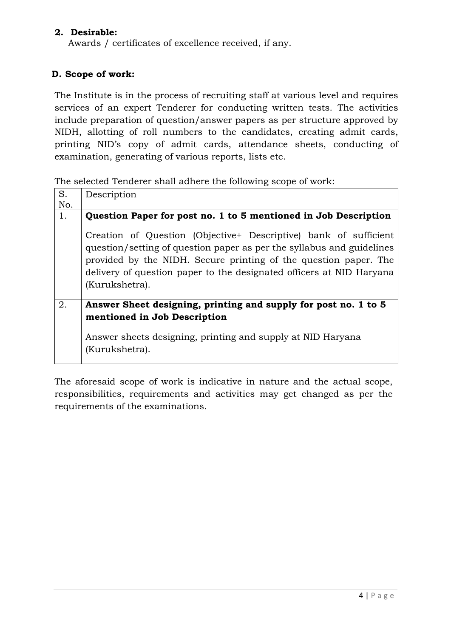#### **2. Desirable:**

Awards / certificates of excellence received, if any.

#### **D. Scope of work:**

The Institute is in the process of recruiting staff at various level and requires services of an expert Tenderer for conducting written tests. The activities include preparation of question/answer papers as per structure approved by NIDH, allotting of roll numbers to the candidates, creating admit cards, printing NID's copy of admit cards, attendance sheets, conducting of examination, generating of various reports, lists etc.

The selected Tenderer shall adhere the following scope of work:

| S.<br>No. | Description                                                                                                                                                                                                                                                                                             |  |  |  |
|-----------|---------------------------------------------------------------------------------------------------------------------------------------------------------------------------------------------------------------------------------------------------------------------------------------------------------|--|--|--|
| 1.        | Question Paper for post no. 1 to 5 mentioned in Job Description                                                                                                                                                                                                                                         |  |  |  |
|           | Creation of Question (Objective+ Descriptive) bank of sufficient<br>question/setting of question paper as per the syllabus and guidelines<br>provided by the NIDH. Secure printing of the question paper. The<br>delivery of question paper to the designated officers at NID Haryana<br>(Kurukshetra). |  |  |  |
| 2.        | Answer Sheet designing, printing and supply for post no. 1 to 5<br>mentioned in Job Description<br>Answer sheets designing, printing and supply at NID Haryana<br>(Kurukshetra).                                                                                                                        |  |  |  |

The aforesaid scope of work is indicative in nature and the actual scope, responsibilities, requirements and activities may get changed as per the requirements of the examinations.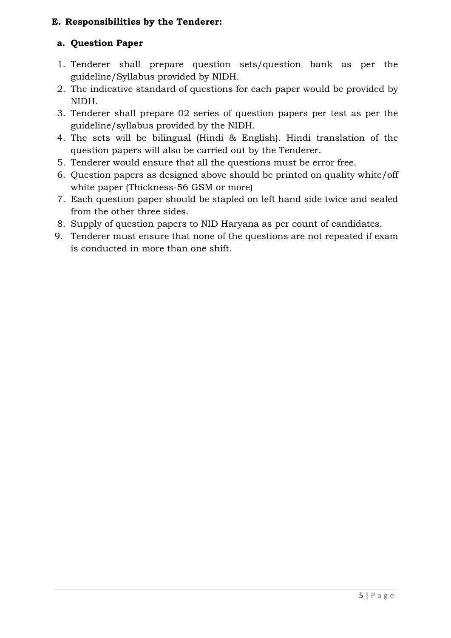### **E. Responsibilities by the Tenderer:**

### **a. Question Paper**

- 1. Tenderer shall prepare question sets/question bank as per the guideline/Syllabus provided by NIDH.
- 2. The indicative standard of questions for each paper would be provided by NIDH.
- 3. Tenderer shall prepare 02 series of question papers per test as per the guideline/syllabus provided by the NIDH.
- 4. The sets will be bilingual (Hindi & English). Hindi translation of the question papers will also be carried out by the Tenderer.
- 5. Tenderer would ensure that all the questions must be error free.
- 6. Question papers as designed above should be printed on quality white/off white paper (Thickness-56 GSM or more)
- 7. Each question paper should be stapled on left hand side twice and sealed from the other three sides.
- 8. Supply of question papers to NID Haryana as per count of candidates.
- 9. Tenderer must ensure that none of the questions are not repeated if exam is conducted in more than one shift.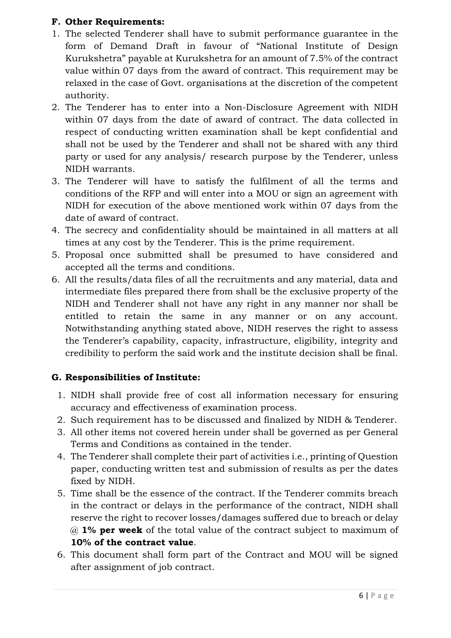### **F. Other Requirements:**

- 1. The selected Tenderer shall have to submit performance guarantee in the form of Demand Draft in favour of "National Institute of Design Kurukshetra" payable at Kurukshetra for an amount of 7.5% of the contract value within 07 days from the award of contract. This requirement may be relaxed in the case of Govt. organisations at the discretion of the competent authority.
- 2. The Tenderer has to enter into a Non-Disclosure Agreement with NIDH within 07 days from the date of award of contract. The data collected in respect of conducting written examination shall be kept confidential and shall not be used by the Tenderer and shall not be shared with any third party or used for any analysis/ research purpose by the Tenderer, unless NIDH warrants.
- 3. The Tenderer will have to satisfy the fulfilment of all the terms and conditions of the RFP and will enter into a MOU or sign an agreement with NIDH for execution of the above mentioned work within 07 days from the date of award of contract.
- 4. The secrecy and confidentiality should be maintained in all matters at all times at any cost by the Tenderer. This is the prime requirement.
- 5. Proposal once submitted shall be presumed to have considered and accepted all the terms and conditions.
- 6. All the results/data files of all the recruitments and any material, data and intermediate files prepared there from shall be the exclusive property of the NIDH and Tenderer shall not have any right in any manner nor shall be entitled to retain the same in any manner or on any account. Notwithstanding anything stated above, NIDH reserves the right to assess the Tenderer's capability, capacity, infrastructure, eligibility, integrity and credibility to perform the said work and the institute decision shall be final.

# **G. Responsibilities of Institute:**

- 1. NIDH shall provide free of cost all information necessary for ensuring accuracy and effectiveness of examination process.
- 2. Such requirement has to be discussed and finalized by NIDH & Tenderer.
- 3. All other items not covered herein under shall be governed as per General Terms and Conditions as contained in the tender.
- 4. The Tenderer shall complete their part of activities i.e., printing of Question paper, conducting written test and submission of results as per the dates fixed by NIDH.
- 5. Time shall be the essence of the contract. If the Tenderer commits breach in the contract or delays in the performance of the contract, NIDH shall reserve the right to recover losses/damages suffered due to breach or delay @ **1% per week** of the total value of the contract subject to maximum of **10% of the contract value**.
- 6. This document shall form part of the Contract and MOU will be signed after assignment of job contract.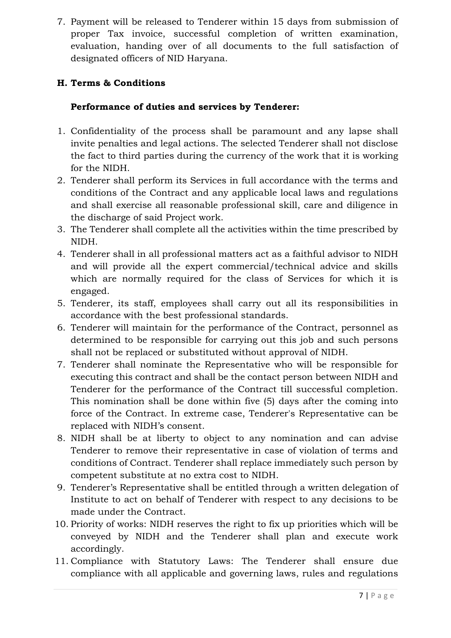7. Payment will be released to Tenderer within 15 days from submission of proper Tax invoice, successful completion of written examination, evaluation, handing over of all documents to the full satisfaction of designated officers of NID Haryana.

# **H. Terms & Conditions**

## **Performance of duties and services by Tenderer:**

- 1. Confidentiality of the process shall be paramount and any lapse shall invite penalties and legal actions. The selected Tenderer shall not disclose the fact to third parties during the currency of the work that it is working for the NIDH.
- 2. Tenderer shall perform its Services in full accordance with the terms and conditions of the Contract and any applicable local laws and regulations and shall exercise all reasonable professional skill, care and diligence in the discharge of said Project work.
- 3. The Tenderer shall complete all the activities within the time prescribed by NIDH.
- 4. Tenderer shall in all professional matters act as a faithful advisor to NIDH and will provide all the expert commercial/technical advice and skills which are normally required for the class of Services for which it is engaged.
- 5. Tenderer, its staff, employees shall carry out all its responsibilities in accordance with the best professional standards.
- 6. Tenderer will maintain for the performance of the Contract, personnel as determined to be responsible for carrying out this job and such persons shall not be replaced or substituted without approval of NIDH.
- 7. Tenderer shall nominate the Representative who will be responsible for executing this contract and shall be the contact person between NIDH and Tenderer for the performance of the Contract till successful completion. This nomination shall be done within five (5) days after the coming into force of the Contract. In extreme case, Tenderer's Representative can be replaced with NIDH's consent.
- 8. NIDH shall be at liberty to object to any nomination and can advise Tenderer to remove their representative in case of violation of terms and conditions of Contract. Tenderer shall replace immediately such person by competent substitute at no extra cost to NIDH.
- 9. Tenderer's Representative shall be entitled through a written delegation of Institute to act on behalf of Tenderer with respect to any decisions to be made under the Contract.
- 10. Priority of works: NIDH reserves the right to fix up priorities which will be conveyed by NIDH and the Tenderer shall plan and execute work accordingly.
- 11. Compliance with Statutory Laws: The Tenderer shall ensure due compliance with all applicable and governing laws, rules and regulations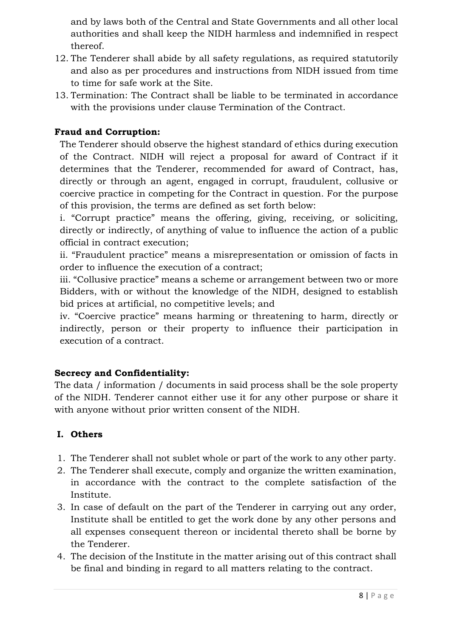and by laws both of the Central and State Governments and all other local authorities and shall keep the NIDH harmless and indemnified in respect thereof.

- 12. The Tenderer shall abide by all safety regulations, as required statutorily and also as per procedures and instructions from NIDH issued from time to time for safe work at the Site.
- 13. Termination: The Contract shall be liable to be terminated in accordance with the provisions under clause Termination of the Contract.

## **Fraud and Corruption:**

The Tenderer should observe the highest standard of ethics during execution of the Contract. NIDH will reject a proposal for award of Contract if it determines that the Tenderer, recommended for award of Contract, has, directly or through an agent, engaged in corrupt, fraudulent, collusive or coercive practice in competing for the Contract in question. For the purpose of this provision, the terms are defined as set forth below:

i. "Corrupt practice" means the offering, giving, receiving, or soliciting, directly or indirectly, of anything of value to influence the action of a public official in contract execution;

ii. "Fraudulent practice" means a misrepresentation or omission of facts in order to influence the execution of a contract;

iii. "Collusive practice" means a scheme or arrangement between two or more Bidders, with or without the knowledge of the NIDH, designed to establish bid prices at artificial, no competitive levels; and

iv. "Coercive practice" means harming or threatening to harm, directly or indirectly, person or their property to influence their participation in execution of a contract.

## **Secrecy and Confidentiality:**

The data / information / documents in said process shall be the sole property of the NIDH. Tenderer cannot either use it for any other purpose or share it with anyone without prior written consent of the NIDH.

## **I. Others**

- 1. The Tenderer shall not sublet whole or part of the work to any other party.
- 2. The Tenderer shall execute, comply and organize the written examination, in accordance with the contract to the complete satisfaction of the Institute.
- 3. In case of default on the part of the Tenderer in carrying out any order, Institute shall be entitled to get the work done by any other persons and all expenses consequent thereon or incidental thereto shall be borne by the Tenderer.
- 4. The decision of the Institute in the matter arising out of this contract shall be final and binding in regard to all matters relating to the contract.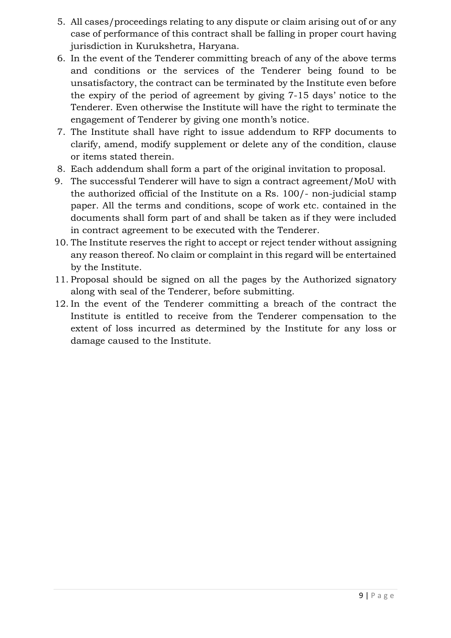- 5. All cases/proceedings relating to any dispute or claim arising out of or any case of performance of this contract shall be falling in proper court having jurisdiction in Kurukshetra, Haryana.
- 6. In the event of the Tenderer committing breach of any of the above terms and conditions or the services of the Tenderer being found to be unsatisfactory, the contract can be terminated by the Institute even before the expiry of the period of agreement by giving 7-15 days' notice to the Tenderer. Even otherwise the Institute will have the right to terminate the engagement of Tenderer by giving one month's notice.
- 7. The Institute shall have right to issue addendum to RFP documents to clarify, amend, modify supplement or delete any of the condition, clause or items stated therein.
- 8. Each addendum shall form a part of the original invitation to proposal.
- 9. The successful Tenderer will have to sign a contract agreement/MoU with the authorized official of the Institute on a Rs. 100/- non-judicial stamp paper. All the terms and conditions, scope of work etc. contained in the documents shall form part of and shall be taken as if they were included in contract agreement to be executed with the Tenderer.
- 10. The Institute reserves the right to accept or reject tender without assigning any reason thereof. No claim or complaint in this regard will be entertained by the Institute.
- 11. Proposal should be signed on all the pages by the Authorized signatory along with seal of the Tenderer, before submitting.
- 12. In the event of the Tenderer committing a breach of the contract the Institute is entitled to receive from the Tenderer compensation to the extent of loss incurred as determined by the Institute for any loss or damage caused to the Institute.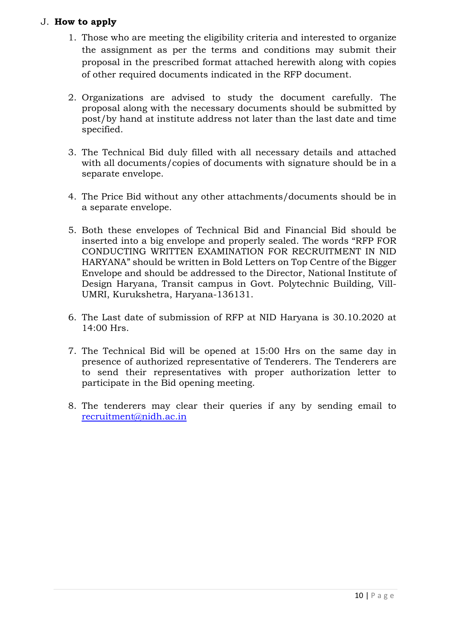#### J. **How to apply**

- 1. Those who are meeting the eligibility criteria and interested to organize the assignment as per the terms and conditions may submit their proposal in the prescribed format attached herewith along with copies of other required documents indicated in the RFP document.
- 2. Organizations are advised to study the document carefully. The proposal along with the necessary documents should be submitted by post/by hand at institute address not later than the last date and time specified.
- 3. The Technical Bid duly filled with all necessary details and attached with all documents/copies of documents with signature should be in a separate envelope.
- 4. The Price Bid without any other attachments/documents should be in a separate envelope.
- 5. Both these envelopes of Technical Bid and Financial Bid should be inserted into a big envelope and properly sealed. The words "RFP FOR CONDUCTING WRITTEN EXAMINATION FOR RECRUITMENT IN NID HARYANA" should be written in Bold Letters on Top Centre of the Bigger Envelope and should be addressed to the Director, National Institute of Design Haryana, Transit campus in Govt. Polytechnic Building, Vill-UMRI, Kurukshetra, Haryana-136131.
- 6. The Last date of submission of RFP at NID Haryana is 30.10.2020 at 14:00 Hrs.
- 7. The Technical Bid will be opened at 15:00 Hrs on the same day in presence of authorized representative of Tenderers. The Tenderers are to send their representatives with proper authorization letter to participate in the Bid opening meeting.
- 8. The tenderers may clear their queries if any by sending email to [recruitment@nidh.ac.in](mailto:recruitment@nidh.ac.in)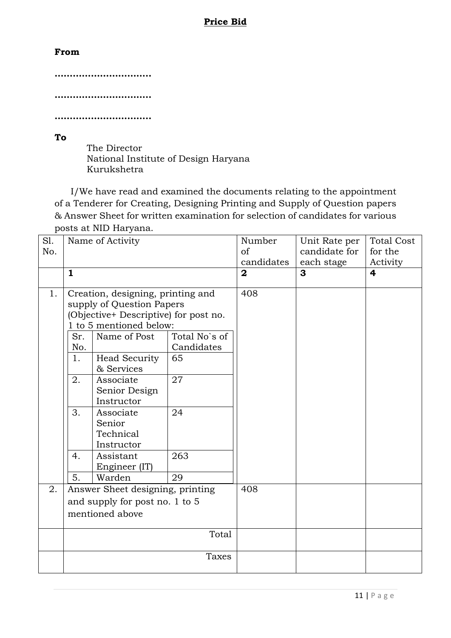#### **Price Bid**

#### **From**

**………………………….. …………………………..**

**…………………………..**

**To**

The Director National Institute of Design Haryana Kurukshetra

I/We have read and examined the documents relating to the appointment of a Tenderer for Creating, Designing Printing and Supply of Question papers & Answer Sheet for written examination for selection of candidates for various posts at NID Haryana.

| S1. | Name of Activity                 |                                       | Number        | Unit Rate per  | <b>Total Cost</b> |          |
|-----|----------------------------------|---------------------------------------|---------------|----------------|-------------------|----------|
| No. |                                  |                                       | of            | candidate for  | for the           |          |
|     |                                  |                                       |               | candidates     | each stage        | Activity |
|     | $\mathbf{1}$                     |                                       |               | $\overline{2}$ | 3                 | 4        |
|     |                                  |                                       |               |                |                   |          |
| 1.  |                                  | Creation, designing, printing and     |               | 408            |                   |          |
|     |                                  | supply of Question Papers             |               |                |                   |          |
|     |                                  | (Objective+ Descriptive) for post no. |               |                |                   |          |
|     |                                  | 1 to 5 mentioned below:               |               |                |                   |          |
|     | Sr.                              | Name of Post                          | Total No's of |                |                   |          |
|     | No.                              |                                       | Candidates    |                |                   |          |
|     | 1.                               | Head Security                         | 65            |                |                   |          |
|     |                                  | & Services                            |               |                |                   |          |
|     | 2.                               | Associate                             | 27            |                |                   |          |
|     |                                  | Senior Design                         |               |                |                   |          |
|     |                                  | Instructor                            |               |                |                   |          |
|     | 3.                               | Associate                             | 24            |                |                   |          |
|     |                                  | Senior                                |               |                |                   |          |
|     |                                  | Technical                             |               |                |                   |          |
|     |                                  | Instructor                            |               |                |                   |          |
|     | 4.                               | Assistant                             | 263           |                |                   |          |
|     |                                  | Engineer (IT)                         |               |                |                   |          |
|     | 5.                               | Warden                                | 29            |                |                   |          |
| 2.  | Answer Sheet designing, printing |                                       | 408           |                |                   |          |
|     | and supply for post no. 1 to 5   |                                       |               |                |                   |          |
|     | mentioned above                  |                                       |               |                |                   |          |
|     |                                  |                                       |               |                |                   |          |
|     | Total                            |                                       |               |                |                   |          |
|     |                                  |                                       |               |                |                   |          |
|     | Taxes                            |                                       |               |                |                   |          |
|     |                                  |                                       |               |                |                   |          |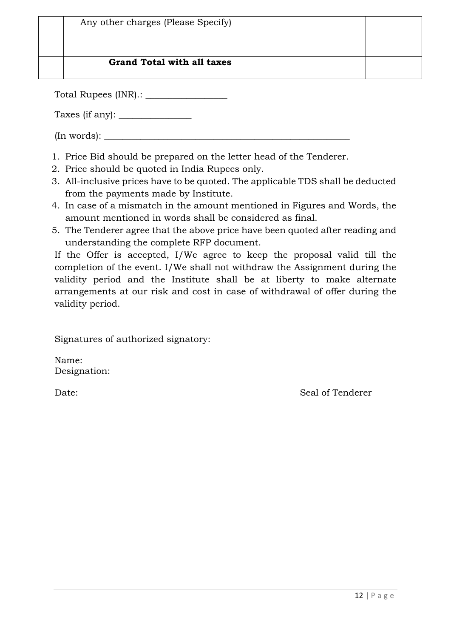| Any other charges (Please Specify) |  |  |
|------------------------------------|--|--|
| <b>Grand Total with all taxes</b>  |  |  |

Total Rupees (INR).: \_\_\_\_\_\_\_\_\_\_\_\_\_\_\_\_\_\_

Taxes (if any): \_\_\_\_\_\_\_\_\_\_\_\_\_\_\_\_

 $(In words):$   $\_\_$ 

- 1. Price Bid should be prepared on the letter head of the Tenderer.
- 2. Price should be quoted in India Rupees only.
- 3. All-inclusive prices have to be quoted. The applicable TDS shall be deducted from the payments made by Institute.
- 4. In case of a mismatch in the amount mentioned in Figures and Words, the amount mentioned in words shall be considered as final.
- 5. The Tenderer agree that the above price have been quoted after reading and understanding the complete RFP document.

If the Offer is accepted, I/We agree to keep the proposal valid till the completion of the event. I/We shall not withdraw the Assignment during the validity period and the Institute shall be at liberty to make alternate arrangements at our risk and cost in case of withdrawal of offer during the validity period.

Signatures of authorized signatory:

Name: Designation:

Date: Seal of Tenderer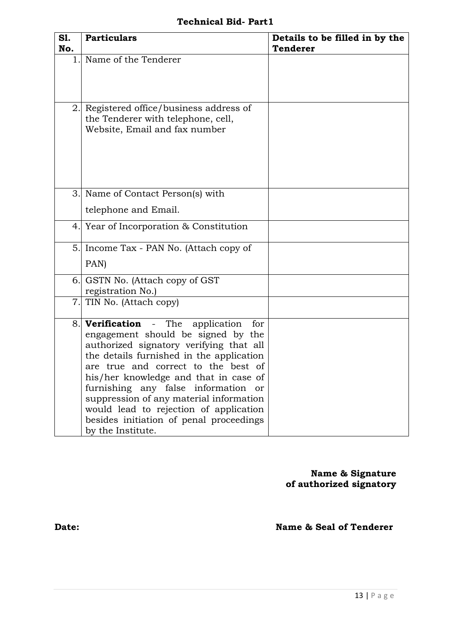## **Technical Bid- Part1**

| <b>S1.</b><br>No. | <b>Particulars</b>                                                                                                                                                                                                                                                                                                                                                                                                                                       | Details to be filled in by the<br><b>Tenderer</b> |
|-------------------|----------------------------------------------------------------------------------------------------------------------------------------------------------------------------------------------------------------------------------------------------------------------------------------------------------------------------------------------------------------------------------------------------------------------------------------------------------|---------------------------------------------------|
|                   | 1. Name of the Tenderer                                                                                                                                                                                                                                                                                                                                                                                                                                  |                                                   |
| 2.                | Registered office/business address of<br>the Tenderer with telephone, cell,<br>Website, Email and fax number                                                                                                                                                                                                                                                                                                                                             |                                                   |
|                   | 3. Name of Contact Person(s) with                                                                                                                                                                                                                                                                                                                                                                                                                        |                                                   |
|                   | telephone and Email.                                                                                                                                                                                                                                                                                                                                                                                                                                     |                                                   |
|                   | 4. Year of Incorporation & Constitution                                                                                                                                                                                                                                                                                                                                                                                                                  |                                                   |
|                   | 5. Income Tax - PAN No. (Attach copy of                                                                                                                                                                                                                                                                                                                                                                                                                  |                                                   |
|                   | PAN)                                                                                                                                                                                                                                                                                                                                                                                                                                                     |                                                   |
| 6.                | GSTN No. (Attach copy of GST)<br>registration No.)                                                                                                                                                                                                                                                                                                                                                                                                       |                                                   |
| 7.                | TIN No. (Attach copy)                                                                                                                                                                                                                                                                                                                                                                                                                                    |                                                   |
|                   | 8. <b>Verification</b> - The application<br>for<br>engagement should be signed by the<br>authorized signatory verifying that all<br>the details furnished in the application<br>are true and correct to the best of<br>his/her knowledge and that in case of<br>furnishing any false information or<br>suppression of any material information<br>would lead to rejection of application<br>besides initiation of penal proceedings<br>by the Institute. |                                                   |

**Name & Signature of authorized signatory**

**Date: Name & Seal of Tenderer**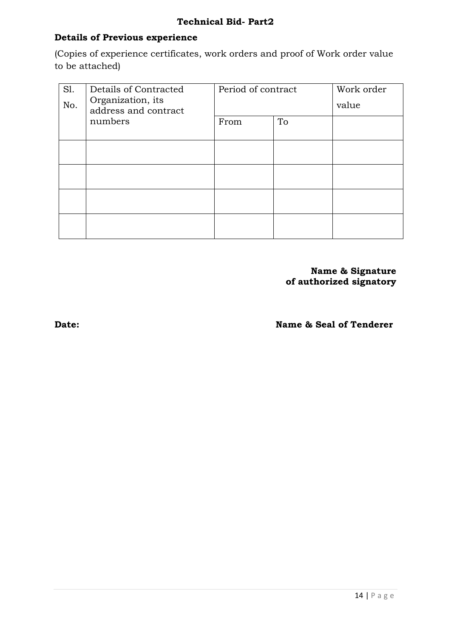### **Details of Previous experience**

(Copies of experience certificates, work orders and proof of Work order value to be attached)

| Sl.<br>No. | Details of Contracted<br>Organization, its<br>address and contract | Period of contract |    | Work order<br>value |
|------------|--------------------------------------------------------------------|--------------------|----|---------------------|
|            | numbers                                                            | From               | To |                     |
|            |                                                                    |                    |    |                     |
|            |                                                                    |                    |    |                     |
|            |                                                                    |                    |    |                     |
|            |                                                                    |                    |    |                     |

**Name & Signature of authorized signatory**

**Date: Name & Seal of Tenderer**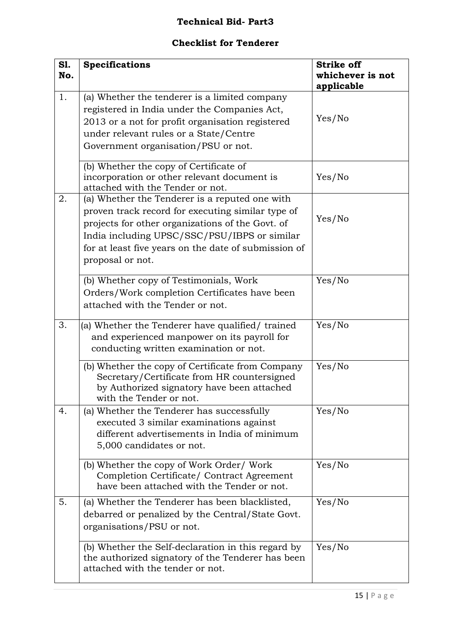## **Technical Bid- Part3**

# **Checklist for Tenderer**

| S1.<br>No. | <b>Specifications</b>                                                                                                                                                                                                                                                               | <b>Strike off</b><br>whichever is not<br>applicable |
|------------|-------------------------------------------------------------------------------------------------------------------------------------------------------------------------------------------------------------------------------------------------------------------------------------|-----------------------------------------------------|
| 1.         | (a) Whether the tenderer is a limited company<br>registered in India under the Companies Act,<br>2013 or a not for profit organisation registered<br>under relevant rules or a State/Centre<br>Government organisation/PSU or not.                                                  | Yes/No                                              |
|            | (b) Whether the copy of Certificate of<br>incorporation or other relevant document is<br>attached with the Tender or not.                                                                                                                                                           | Yes/No                                              |
| 2.         | (a) Whether the Tenderer is a reputed one with<br>proven track record for executing similar type of<br>projects for other organizations of the Govt. of<br>India including UPSC/SSC/PSU/IBPS or similar<br>for at least five years on the date of submission of<br>proposal or not. | Yes/No                                              |
|            | (b) Whether copy of Testimonials, Work<br>Orders/Work completion Certificates have been<br>attached with the Tender or not.                                                                                                                                                         | Yes/No                                              |
| 3.         | (a) Whether the Tenderer have qualified/trained<br>and experienced manpower on its payroll for<br>conducting written examination or not.                                                                                                                                            | Yes/No                                              |
|            | (b) Whether the copy of Certificate from Company<br>Secretary/Certificate from HR countersigned<br>by Authorized signatory have been attached<br>with the Tender or not.                                                                                                            | Yes/No                                              |
| 4.         | (a) Whether the Tenderer has successfully<br>executed 3 similar examinations against<br>different advertisements in India of minimum<br>5,000 candidates or not.                                                                                                                    | Yes/No                                              |
|            | (b) Whether the copy of Work Order/ Work<br>Completion Certificate/ Contract Agreement<br>have been attached with the Tender or not.                                                                                                                                                | Yes/No                                              |
| 5.         | (a) Whether the Tenderer has been blacklisted,<br>debarred or penalized by the Central/State Govt.<br>organisations/PSU or not.                                                                                                                                                     | Yes/No                                              |
|            | (b) Whether the Self-declaration in this regard by<br>the authorized signatory of the Tenderer has been<br>attached with the tender or not.                                                                                                                                         | Yes/No                                              |